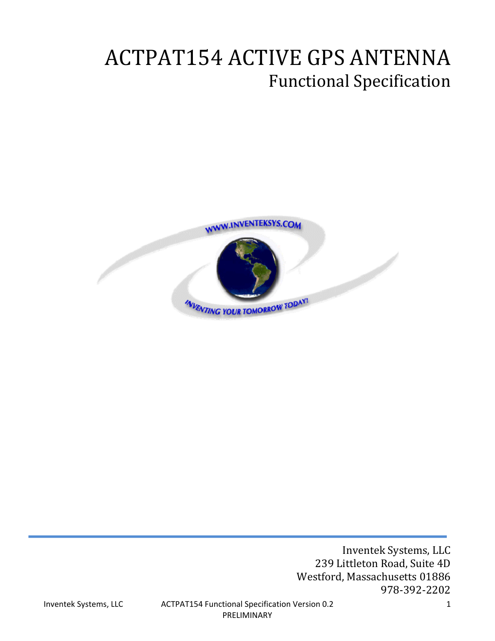# ACTPAT154 ACTIVE GPS ANTENNA Functional Specification



Inventek Systems, LLC 239 Littleton Road, Suite 4D Westford, Massachusetts 01886 978‐392‐2202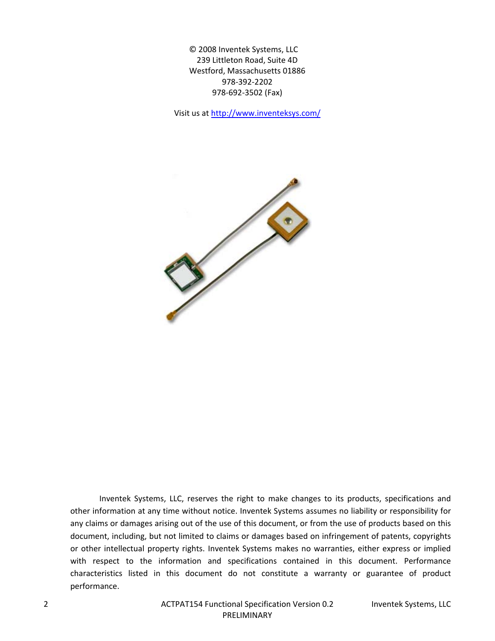© 2008 Inventek Systems, LLC 239 Littleton Road, Suite 4D Westford, Massachusetts 01886 978‐392‐2202 978‐692‐3502 (Fax)

Visit us at http://www.inventeksys.com/



Inventek Systems, LLC, reserves the right to make changes to its products, specifications and other information at any time without notice. Inventek Systems assumes no liability or responsibility for any claims or damages arising out of the use of this document, or from the use of products based on this document, including, but not limited to claims or damages based on infringement of patents, copyrights or other intellectual property rights. Inventek Systems makes no warranties, either express or implied with respect to the information and specifications contained in this document. Performance characteristics listed in this document do not constitute a warranty or guarantee of product performance.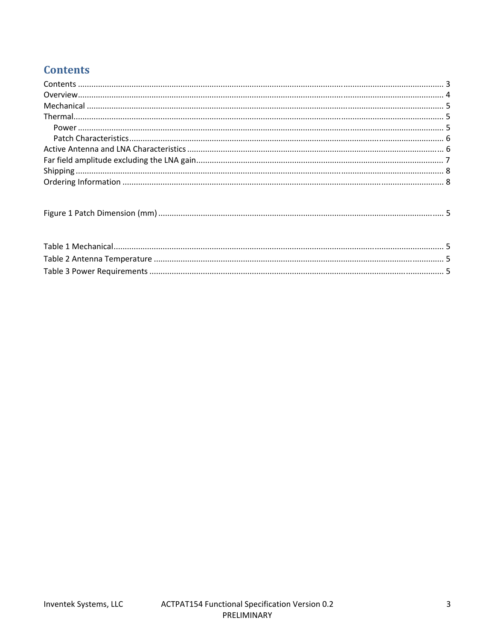# **Contents**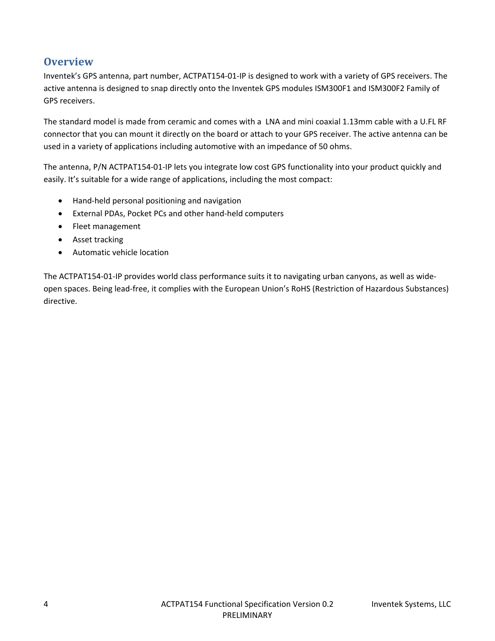# **Overview**

Inventek's GPS antenna, part number, ACTPAT154‐01‐IP is designed to work with a variety of GPS receivers. The active antenna is designed to snap directly onto the Inventek GPS modules ISM300F1 and ISM300F2 Family of GPS receivers.

The standard model is made from ceramic and comes with a LNA and mini coaxial 1.13mm cable with a U.FL RF connector that you can mount it directly on the board or attach to your GPS receiver. The active antenna can be used in a variety of applications including automotive with an impedance of 50 ohms.

The antenna, P/N ACTPAT154‐01‐IP lets you integrate low cost GPS functionality into your product quickly and easily. It's suitable for a wide range of applications, including the most compact:

- Hand‐held personal positioning and navigation
- External PDAs, Pocket PCs and other hand‐held computers
- Fleet management
- Asset tracking
- Automatic vehicle location

The ACTPAT154‐01‐IP provides world class performance suits it to navigating urban canyons, as well as wide‐ open spaces. Being lead‐free, it complies with the European Union's RoHS (Restriction of Hazardous Substances) directive.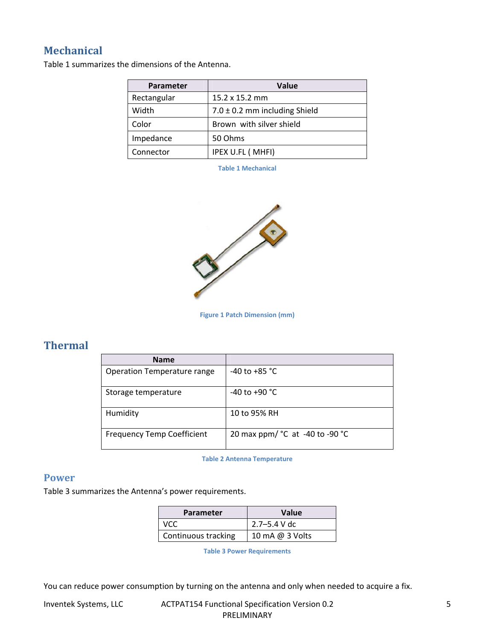## **Mechanical**

Table 1 summarizes the dimensions of the Antenna.

| <b>Parameter</b> | <b>Value</b>                      |  |
|------------------|-----------------------------------|--|
| Rectangular      | $15.2 \times 15.2 \text{ mm}$     |  |
| Width            | $7.0 \pm 0.2$ mm including Shield |  |
| Color            | Brown with silver shield          |  |
| Impedance        | 50 Ohms                           |  |
| Connector        | IPEX U.FL (MHFI)                  |  |

**Table 1 Mechanical**



**Figure 1 Patch Dimension (mm)**

## **Thermal**

| <b>Name</b>                       |                                 |
|-----------------------------------|---------------------------------|
| Operation Temperature range       | $-40$ to $+85$ °C               |
| Storage temperature               | $-40$ to $+90$ °C               |
| Humidity                          | 10 to 95% RH                    |
| <b>Frequency Temp Coefficient</b> | 20 max ppm/ °C at -40 to -90 °C |

**Table 2 Antenna Temperature**

### **Power**

Table 3 summarizes the Antenna's power requirements.

| <b>Parameter</b>    | <b>Value</b>     |  |
|---------------------|------------------|--|
| <b>VCC</b>          | $2.7 - 5.4$ V dc |  |
| Continuous tracking | 10 mA @ 3 Volts  |  |

**Table 3 Power Requirements**

You can reduce power consumption by turning on the antenna and only when needed to acquire a fix.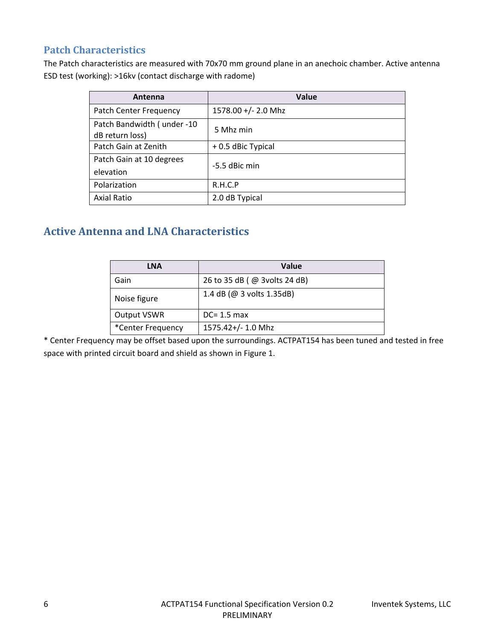## **Patch Characteristics**

The Patch characteristics are measured with 70x70 mm ground plane in an anechoic chamber. Active antenna ESD test (working): >16kv (contact discharge with radome)

| Antenna                                       | Value               |
|-----------------------------------------------|---------------------|
| Patch Center Frequency                        | 1578.00 +/- 2.0 Mhz |
| Patch Bandwidth (under -10<br>dB return loss) | 5 Mhz min           |
| Patch Gain at Zenith                          | +0.5 dBic Typical   |
| Patch Gain at 10 degrees<br>elevation         | -5.5 dBic min       |
| Polarization                                  | R.H.C.P             |
| <b>Axial Ratio</b>                            | 2.0 dB Typical      |

## **Active Antenna and LNA Characteristics**

| LNA                | Value                        |  |
|--------------------|------------------------------|--|
| Gain               | 26 to 35 dB (@ 3volts 24 dB) |  |
| Noise figure       | 1.4 dB ( $@$ 3 volts 1.35dB) |  |
| <b>Output VSWR</b> | $DC = 1.5$ max               |  |
| *Center Frequency  | 1575.42+/- 1.0 Mhz           |  |

\* Center Frequency may be offset based upon the surroundings. ACTPAT154 has been tuned and tested in free space with printed circuit board and shield as shown in Figure 1.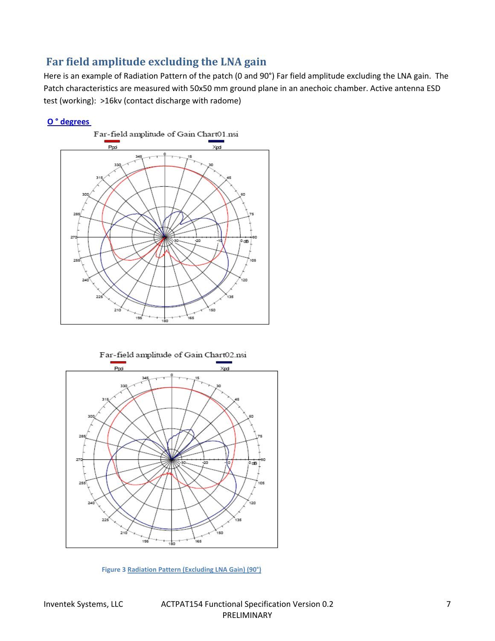# **Far field amplitude excluding the LNA gain**

Here is an example of Radiation Pattern of the patch (0 and 90°) Far field amplitude excluding the LNA gain. The Patch characteristics are measured with 50x50 mm ground plane in an anechoic chamber. Active antenna ESD test (working): >16kv (contact discharge with radome)

#### **O ° degrees**





**Figure 3 Radiation Pattern (Excluding LNA Gain) (90°)**

#### Inventek Systems, LLC ACTPAT154 Functional Specification Version 0.2 7 PRELIMINARY